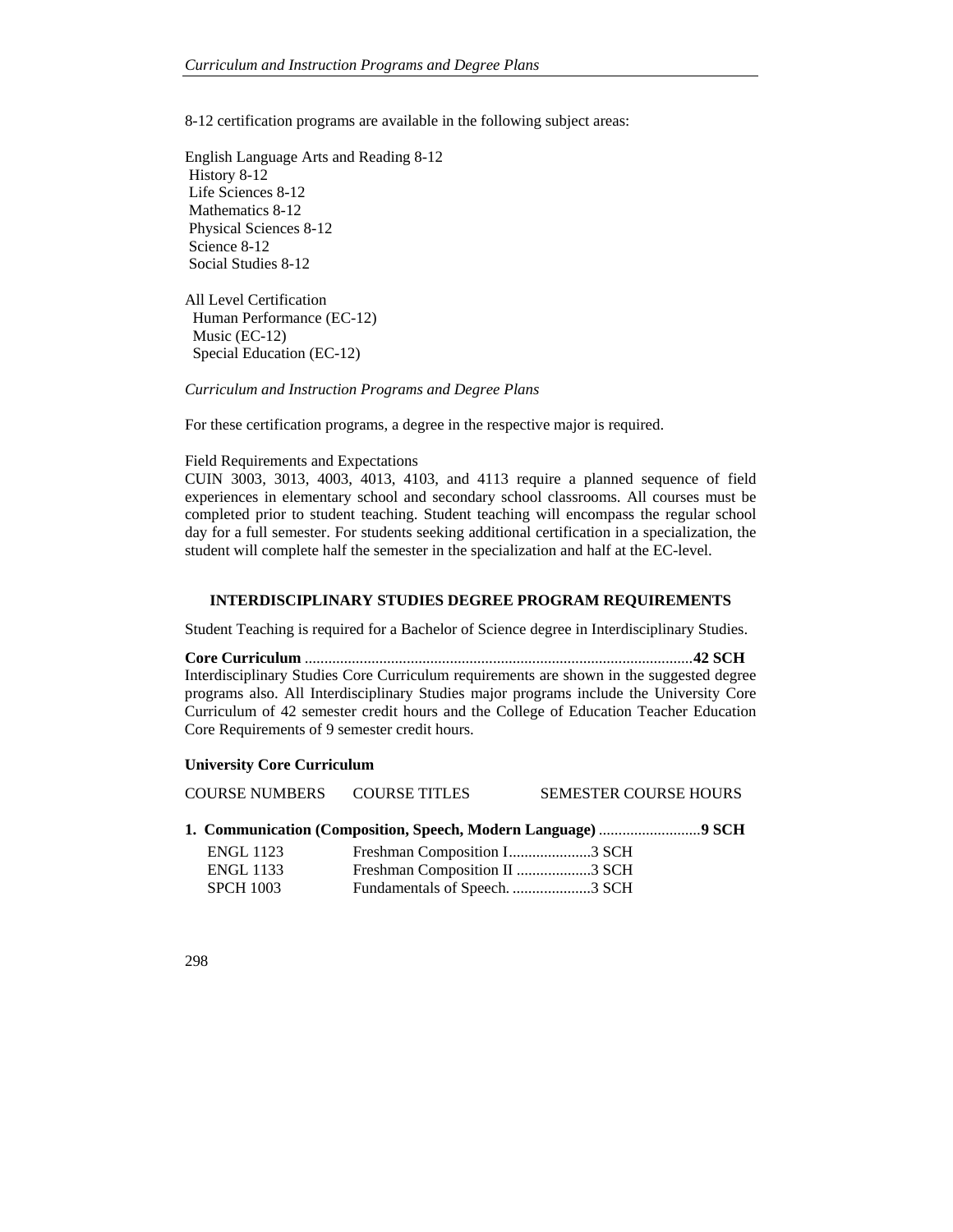8-12 certification programs are available in the following subject areas:

English Language Arts and Reading 8-12 History 8-12 Life Sciences 8-12 Mathematics 8-12 Physical Sciences 8-12 Science 8-12 Social Studies 8-12

All Level Certification Human Performance (EC-12) Music (EC-12) Special Education (EC-12)

*Curriculum and Instruction Programs and Degree Plans* 

For these certification programs, a degree in the respective major is required.

#### Field Requirements and Expectations

CUIN 3003, 3013, 4003, 4013, 4103, and 4113 require a planned sequence of field experiences in elementary school and secondary school classrooms. All courses must be completed prior to student teaching. Student teaching will encompass the regular school day for a full semester. For students seeking additional certification in a specialization, the student will complete half the semester in the specialization and half at the EC-level.

#### **INTERDISCIPLINARY STUDIES DEGREE PROGRAM REQUIREMENTS**

Student Teaching is required for a Bachelor of Science degree in Interdisciplinary Studies.

**Core Curriculum** ................................................................................................... **42 SCH**  Interdisciplinary Studies Core Curriculum requirements are shown in the suggested degree programs also. All Interdisciplinary Studies major programs include the University Core Curriculum of 42 semester credit hours and the College of Education Teacher Education Core Requirements of 9 semester credit hours.

#### **University Core Curriculum**

| <b>COURSE NUMBERS</b> | <b>COURSE TITLES</b>          | <b>SEMESTER COURSE HOURS</b> |
|-----------------------|-------------------------------|------------------------------|
|                       |                               |                              |
| <b>ENGL 1123</b>      |                               |                              |
| <b>ENGL 1133</b>      | Freshman Composition II 3 SCH |                              |

SPCH 1003 Fundamentals of Speech. ........................3 SCH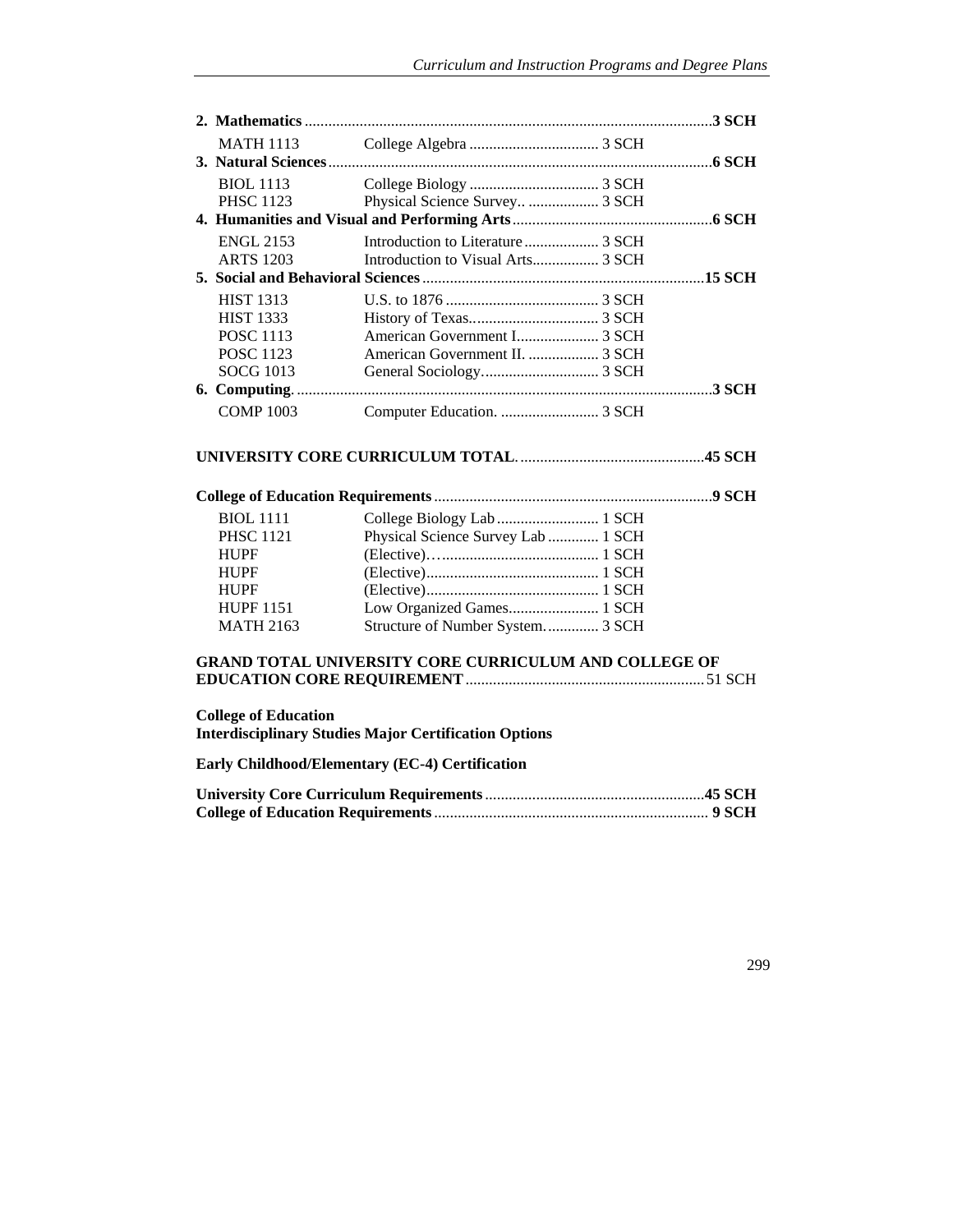| <b>MATH 1113</b> |                                |  |
|------------------|--------------------------------|--|
|                  |                                |  |
| <b>BIOL 1113</b> |                                |  |
| <b>PHSC 1123</b> | Physical Science Survey  3 SCH |  |
|                  |                                |  |
| <b>ENGL 2153</b> |                                |  |
| <b>ARTS</b> 1203 |                                |  |
|                  |                                |  |
| <b>HIST 1313</b> |                                |  |
| <b>HIST 1333</b> |                                |  |
| <b>POSC 1113</b> |                                |  |
| <b>POSC 1123</b> |                                |  |
| SOCG 1013        |                                |  |
| 6. Computing     |                                |  |
| <b>COMP 1003</b> |                                |  |

# **UNIVERSITY CORE CURRICULUM TOTAL**. ............................................... **45 SCH**

| <b>BIOL</b> 1111 |                                    |  |
|------------------|------------------------------------|--|
| <b>PHSC 1121</b> | Physical Science Survey Lab  1 SCH |  |
| <b>HUPF</b>      |                                    |  |
| <b>HUPF</b>      |                                    |  |
| <b>HUPF</b>      |                                    |  |
| <b>HUPF 1151</b> |                                    |  |
| <b>MATH 2163</b> | Structure of Number System 3 SCH   |  |

## **GRAND TOTAL UNIVERSITY CORE CURRICULUM AND COLLEGE OF EDUCATION CORE REQUIREMENT** ............................................................. 51 SCH

# **College of Education**

**Interdisciplinary Studies Major Certification Options** 

# **Early Childhood/Elementary (EC-4) Certification**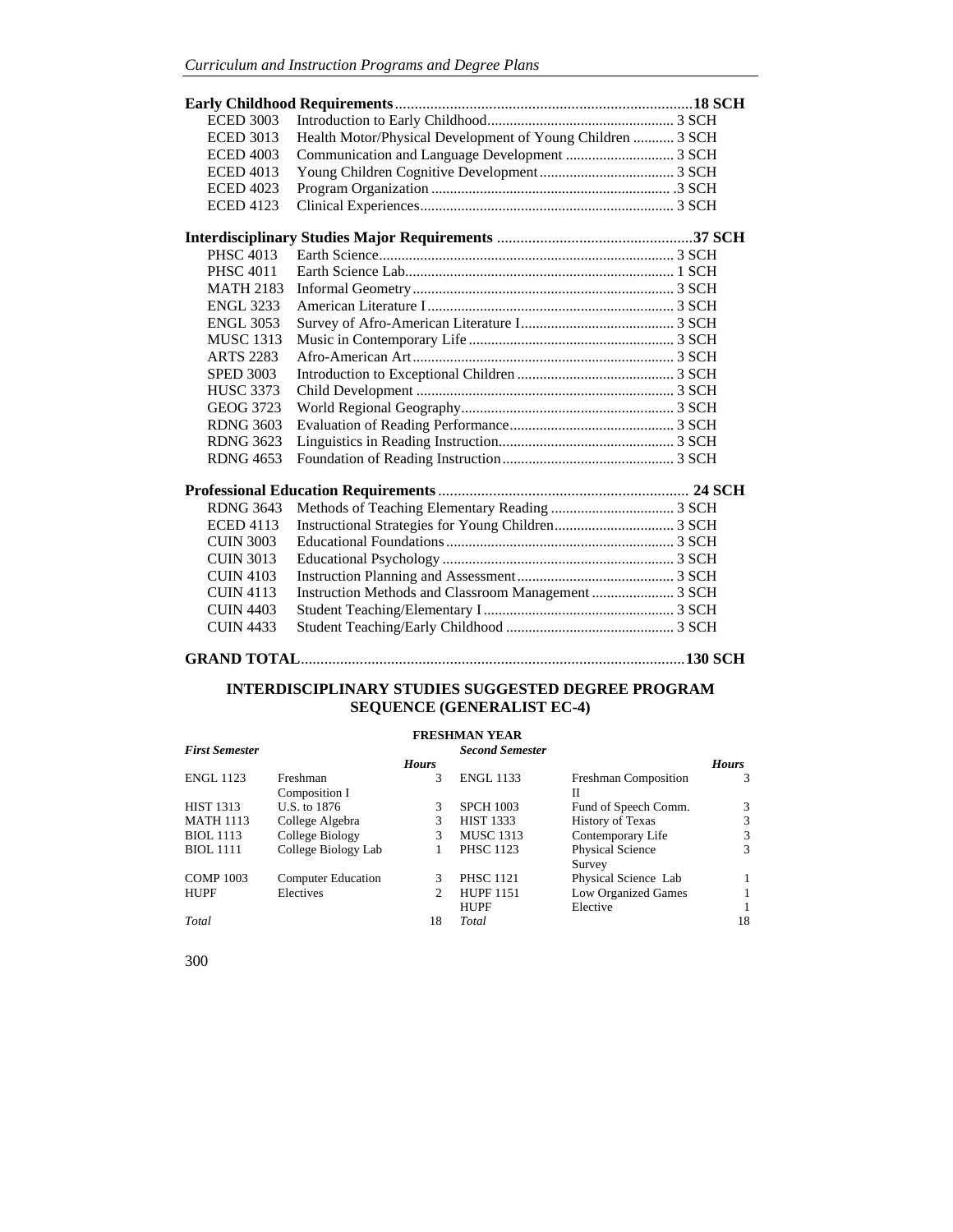| <b>ECED 3003</b> |                                                            |  |
|------------------|------------------------------------------------------------|--|
| <b>ECED 3013</b> | Health Motor/Physical Development of Young Children  3 SCH |  |
| <b>ECED 4003</b> |                                                            |  |
| <b>ECED 4013</b> |                                                            |  |
| <b>ECED 4023</b> |                                                            |  |
| <b>ECED 4123</b> |                                                            |  |
|                  |                                                            |  |
| <b>PHSC 4013</b> |                                                            |  |
| <b>PHSC 4011</b> |                                                            |  |
| <b>MATH 2183</b> |                                                            |  |
| <b>ENGL 3233</b> |                                                            |  |
| <b>ENGL 3053</b> |                                                            |  |
| <b>MUSC 1313</b> |                                                            |  |
| <b>ARTS 2283</b> |                                                            |  |
| <b>SPED 3003</b> |                                                            |  |
| <b>HUSC 3373</b> |                                                            |  |
| <b>GEOG 3723</b> |                                                            |  |
| <b>RDNG 3603</b> |                                                            |  |
| <b>RDNG 3623</b> |                                                            |  |
| <b>RDNG 4653</b> |                                                            |  |
|                  |                                                            |  |
| <b>RDNG 3643</b> |                                                            |  |
| <b>ECED 4113</b> |                                                            |  |
| <b>CUIN 3003</b> |                                                            |  |
| <b>CUIN 3013</b> |                                                            |  |
| <b>CUIN 4103</b> |                                                            |  |
| <b>CUIN 4113</b> | Instruction Methods and Classroom Management  3 SCH        |  |
| <b>CUIN 4403</b> |                                                            |  |
| <b>CUIN 4433</b> |                                                            |  |
|                  |                                                            |  |

## **INTERDISCIPLINARY STUDIES SUGGESTED DEGREE PROGRAM SEQUENCE (GENERALIST EC-4)**

## **FRESHMAN YEAR**

| <b>FRESHIVERS LEAR</b> |                           |              |                        |                         |              |
|------------------------|---------------------------|--------------|------------------------|-------------------------|--------------|
| <b>First Semester</b>  |                           |              | <b>Second Semester</b> |                         |              |
|                        |                           | <b>Hours</b> |                        |                         | <b>Hours</b> |
| <b>ENGL 1123</b>       | Freshman                  | 3            | <b>ENGL 1133</b>       | Freshman Composition    | 3            |
|                        | Composition I             |              |                        | П                       |              |
| <b>HIST 1313</b>       | U.S. to 1876              | 3            | <b>SPCH 1003</b>       | Fund of Speech Comm.    | 3            |
| <b>MATH 1113</b>       | College Algebra           | 3            | <b>HIST 1333</b>       | <b>History of Texas</b> | 3            |
| <b>BIOL</b> 1113       | College Biology           | 3            | <b>MUSC 1313</b>       | Contemporary Life       | 3            |
| <b>BIOL</b> 1111       | College Biology Lab       |              | <b>PHSC 1123</b>       | Physical Science        | 3            |
|                        |                           |              |                        | Survey                  |              |
| <b>COMP 1003</b>       | <b>Computer Education</b> | 3            | <b>PHSC 1121</b>       | Physical Science Lab    |              |
| <b>HUPF</b>            | Electives                 | 2            | <b>HUPF 1151</b>       | Low Organized Games     |              |
|                        |                           |              | <b>HUPF</b>            | Elective                |              |
| Total                  |                           | 18           | Total                  |                         | 18           |
|                        |                           |              |                        |                         |              |